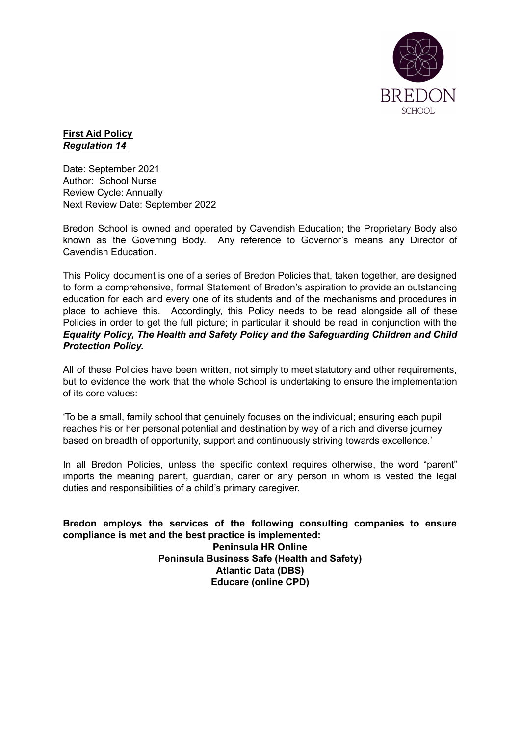

## **First Aid Policy** *Regulation 14*

Date: September 2021 Author: School Nurse Review Cycle: Annually Next Review Date: September 2022

Bredon School is owned and operated by Cavendish Education; the Proprietary Body also known as the Governing Body. Any reference to Governor's means any Director of Cavendish Education.

This Policy document is one of a series of Bredon Policies that, taken together, are designed to form a comprehensive, formal Statement of Bredon's aspiration to provide an outstanding education for each and every one of its students and of the mechanisms and procedures in place to achieve this. Accordingly, this Policy needs to be read alongside all of these Policies in order to get the full picture; in particular it should be read in conjunction with the *Equality Policy, The Health and Safety Policy and the Safeguarding Children and Child Protection Policy.*

All of these Policies have been written, not simply to meet statutory and other requirements, but to evidence the work that the whole School is undertaking to ensure the implementation of its core values:

'To be a small, family school that genuinely focuses on the individual; ensuring each pupil reaches his or her personal potential and destination by way of a rich and diverse journey based on breadth of opportunity, support and continuously striving towards excellence.'

In all Bredon Policies, unless the specific context requires otherwise, the word "parent" imports the meaning parent, guardian, carer or any person in whom is vested the legal duties and responsibilities of a child's primary caregiver.

**Bredon employs the services of the following consulting companies to ensure compliance is met and the best practice is implemented: Peninsula HR Online Peninsula Business Safe (Health and Safety) Atlantic Data (DBS) Educare (online CPD)**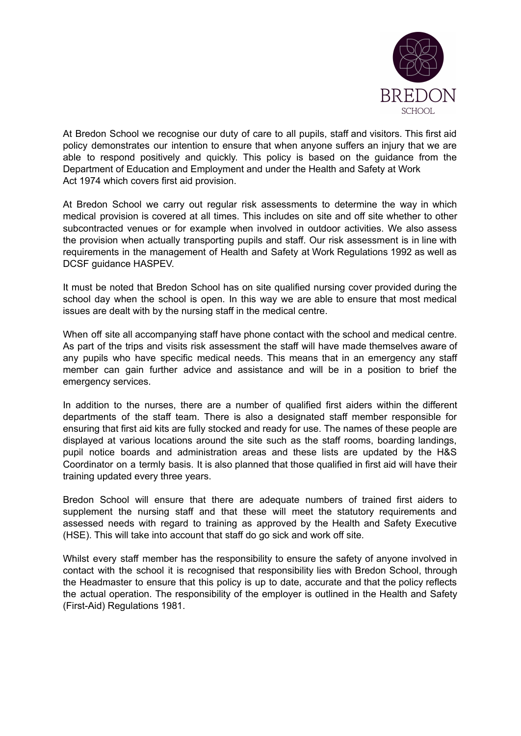

At Bredon School we recognise our duty of care to all pupils, staff and visitors. This first aid policy demonstrates our intention to ensure that when anyone suffers an injury that we are able to respond positively and quickly. This policy is based on the guidance from the Department of Education and Employment and under the Health and Safety at Work Act 1974 which covers first aid provision.

At Bredon School we carry out regular risk assessments to determine the way in which medical provision is covered at all times. This includes on site and off site whether to other subcontracted venues or for example when involved in outdoor activities. We also assess the provision when actually transporting pupils and staff. Our risk assessment is in line with requirements in the management of Health and Safety at Work Regulations 1992 as well as DCSF guidance HASPEV.

It must be noted that Bredon School has on site qualified nursing cover provided during the school day when the school is open. In this way we are able to ensure that most medical issues are dealt with by the nursing staff in the medical centre.

When off site all accompanying staff have phone contact with the school and medical centre. As part of the trips and visits risk assessment the staff will have made themselves aware of any pupils who have specific medical needs. This means that in an emergency any staff member can gain further advice and assistance and will be in a position to brief the emergency services.

In addition to the nurses, there are a number of qualified first aiders within the different departments of the staff team. There is also a designated staff member responsible for ensuring that first aid kits are fully stocked and ready for use. The names of these people are displayed at various locations around the site such as the staff rooms, boarding landings, pupil notice boards and administration areas and these lists are updated by the H&S Coordinator on a termly basis. It is also planned that those qualified in first aid will have their training updated every three years.

Bredon School will ensure that there are adequate numbers of trained first aiders to supplement the nursing staff and that these will meet the statutory requirements and assessed needs with regard to training as approved by the Health and Safety Executive (HSE). This will take into account that staff do go sick and work off site.

Whilst every staff member has the responsibility to ensure the safety of anyone involved in contact with the school it is recognised that responsibility lies with Bredon School, through the Headmaster to ensure that this policy is up to date, accurate and that the policy reflects the actual operation. The responsibility of the employer is outlined in the Health and Safety (First-Aid) Regulations 1981.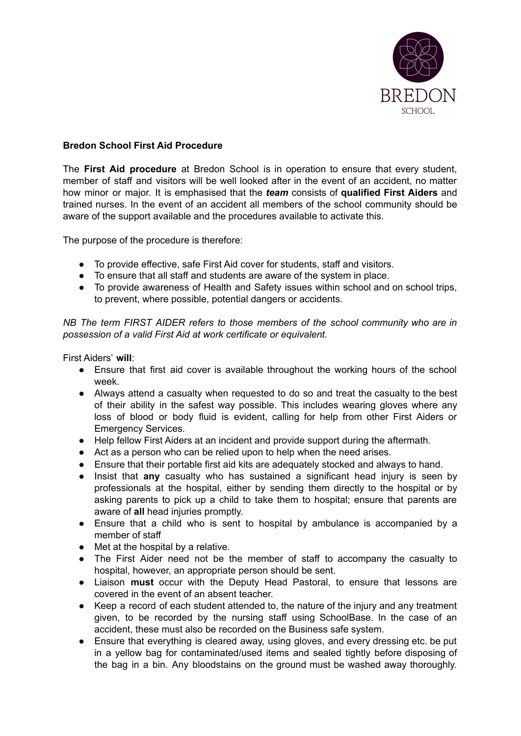

## **Bredon School First Aid Procedure**

The **First Aid procedure** at Bredon School is in operation to ensure that every student, member of staff and visitors will be well looked after in the event of an accident, no matter how minor or major. It is emphasised that the *team* consists of **qualified First Aiders** and trained nurses. In the event of an accident all members of the school community should be aware of the support available and the procedures available to activate this.

The purpose of the procedure is therefore:

- To provide effective, safe First Aid cover for students, staff and visitors.
- To ensure that all staff and students are aware of the system in place.
- To provide awareness of Health and Safety issues within school and on school trips, to prevent, where possible, potential dangers or accidents.

*NB The term FIRST AIDER refers to those members of the school community who are in possession of a valid First Aid at work certificate or equivalent.*

First Aiders' **will**:

- Ensure that first aid cover is available throughout the working hours of the school week.
- Always attend a casualty when requested to do so and treat the casualty to the best of their ability in the safest way possible. This includes wearing gloves where any loss of blood or body fluid is evident, calling for help from other First Aiders or Emergency Services.
- Help fellow First Aiders at an incident and provide support during the aftermath.
- Act as a person who can be relied upon to help when the need arises.
- Ensure that their portable first aid kits are adequately stocked and always to hand.
- Insist that **any** casualty who has sustained a significant head injury is seen by professionals at the hospital, either by sending them directly to the hospital or by asking parents to pick up a child to take them to hospital; ensure that parents are aware of **all** head injuries promptly.
- Ensure that a child who is sent to hospital by ambulance is accompanied by a member of staff
- Met at the hospital by a relative.
- The First Aider need not be the member of staff to accompany the casualty to hospital, however, an appropriate person should be sent.
- Liaison **must** occur with the Deputy Head Pastoral, to ensure that lessons are covered in the event of an absent teacher.
- Keep a record of each student attended to, the nature of the injury and any treatment given, to be recorded by the nursing staff using SchoolBase. In the case of an accident, these must also be recorded on the Business safe system.
- Ensure that everything is cleared away, using gloves, and every dressing etc. be put in a yellow bag for contaminated/used items and sealed tightly before disposing of the bag in a bin. Any bloodstains on the ground must be washed away thoroughly.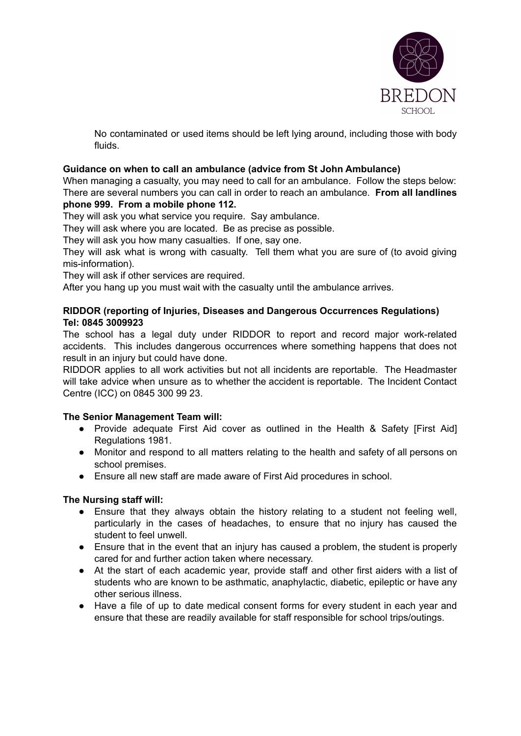

No contaminated or used items should be left lying around, including those with body fluids.

## **Guidance on when to call an ambulance (advice from St John Ambulance)**

When managing a casualty, you may need to call for an ambulance. Follow the steps below: There are several numbers you can call in order to reach an ambulance. **From all landlines phone 999. From a mobile phone 112.**

They will ask you what service you require. Say ambulance.

They will ask where you are located. Be as precise as possible.

They will ask you how many casualties. If one, say one.

They will ask what is wrong with casualty. Tell them what you are sure of (to avoid giving mis-information).

They will ask if other services are required.

After you hang up you must wait with the casualty until the ambulance arrives.

## **RIDDOR (reporting of Injuries, Diseases and Dangerous Occurrences Regulations) Tel: 0845 3009923**

The school has a legal duty under RIDDOR to report and record major work-related accidents. This includes dangerous occurrences where something happens that does not result in an injury but could have done.

RIDDOR applies to all work activities but not all incidents are reportable. The Headmaster will take advice when unsure as to whether the accident is reportable. The Incident Contact Centre (ICC) on 0845 300 99 23.

#### **The Senior Management Team will:**

- Provide adequate First Aid cover as outlined in the Health & Safety [First Aid] Regulations 1981.
- Monitor and respond to all matters relating to the health and safety of all persons on school premises.
- Ensure all new staff are made aware of First Aid procedures in school.

#### **The Nursing staff will:**

- Ensure that they always obtain the history relating to a student not feeling well, particularly in the cases of headaches, to ensure that no injury has caused the student to feel unwell.
- Ensure that in the event that an injury has caused a problem, the student is properly cared for and further action taken where necessary.
- At the start of each academic year, provide staff and other first aiders with a list of students who are known to be asthmatic, anaphylactic, diabetic, epileptic or have any other serious illness.
- Have a file of up to date medical consent forms for every student in each year and ensure that these are readily available for staff responsible for school trips/outings.